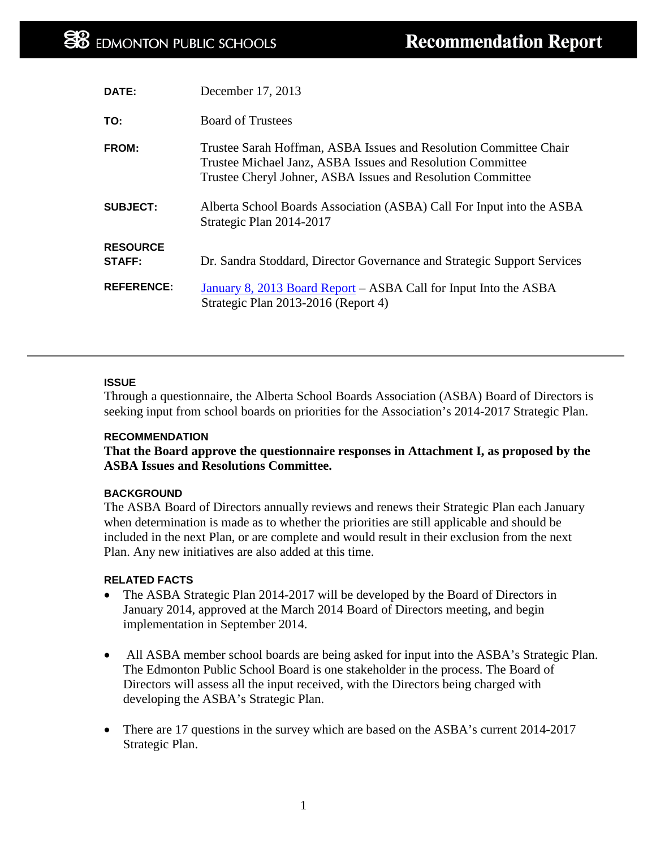| DATE:                     | December 17, 2013                                                                                                                                                                              |
|---------------------------|------------------------------------------------------------------------------------------------------------------------------------------------------------------------------------------------|
| TO:                       | <b>Board of Trustees</b>                                                                                                                                                                       |
| FROM:                     | Trustee Sarah Hoffman, ASBA Issues and Resolution Committee Chair<br>Trustee Michael Janz, ASBA Issues and Resolution Committee<br>Trustee Cheryl Johner, ASBA Issues and Resolution Committee |
| <b>SUBJECT:</b>           | Alberta School Boards Association (ASBA) Call For Input into the ASBA<br>Strategic Plan 2014-2017                                                                                              |
| <b>RESOURCE</b><br>STAFF: | Dr. Sandra Stoddard, Director Governance and Strategic Support Services                                                                                                                        |
| <b>REFERENCE:</b>         | January 8, 2013 Board Report – ASBA Call for Input Into the ASBA<br>Strategic Plan 2013-2016 (Report 4)                                                                                        |

### **ISSUE**

Through a questionnaire, the Alberta School Boards Association (ASBA) Board of Directors is seeking input from school boards on priorities for the Association's 2014-2017 Strategic Plan.

### **RECOMMENDATION**

**That the Board approve the questionnaire responses in Attachment I, as proposed by the ASBA Issues and Resolutions Committee.** 

### **BACKGROUND**

The ASBA Board of Directors annually reviews and renews their Strategic Plan each January when determination is made as to whether the priorities are still applicable and should be included in the next Plan, or are complete and would result in their exclusion from the next Plan. Any new initiatives are also added at this time.

### **RELATED FACTS**

- The ASBA Strategic Plan 2014-2017 will be developed by the Board of Directors in January 2014, approved at the March 2014 Board of Directors meeting, and begin implementation in September 2014.
- All ASBA member school boards are being asked for input into the ASBA's Strategic Plan. The Edmonton Public School Board is one stakeholder in the process. The Board of Directors will assess all the input received, with the Directors being charged with developing the ASBA's Strategic Plan.
- There are 17 questions in the survey which are based on the ASBA's current 2014-2017 Strategic Plan.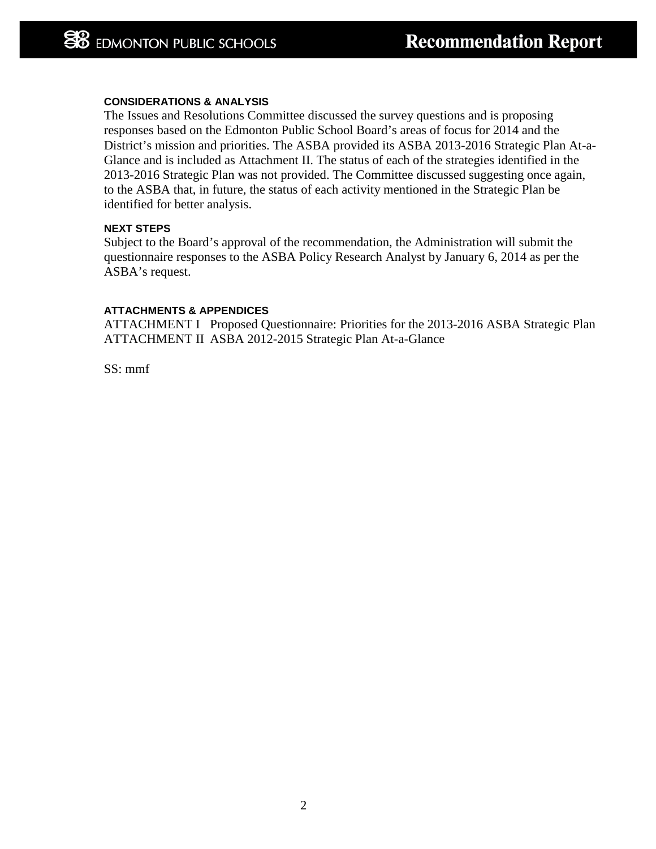### **CONSIDERATIONS & ANALYSIS**

The Issues and Resolutions Committee discussed the survey questions and is proposing responses based on the Edmonton Public School Board's areas of focus for 2014 and the District's mission and priorities. The ASBA provided its ASBA 2013-2016 Strategic Plan At-a-Glance and is included as Attachment II. The status of each of the strategies identified in the 2013-2016 Strategic Plan was not provided. The Committee discussed suggesting once again, to the ASBA that, in future, the status of each activity mentioned in the Strategic Plan be identified for better analysis.

### **NEXT STEPS**

Subject to the Board's approval of the recommendation, the Administration will submit the questionnaire responses to the ASBA Policy Research Analyst by January 6, 2014 as per the ASBA's request.

### **ATTACHMENTS & APPENDICES**

ATTACHMENT I Proposed Questionnaire: Priorities for the 2013-2016 ASBA Strategic Plan ATTACHMENT II ASBA 2012-2015 Strategic Plan At-a-Glance

SS: mmf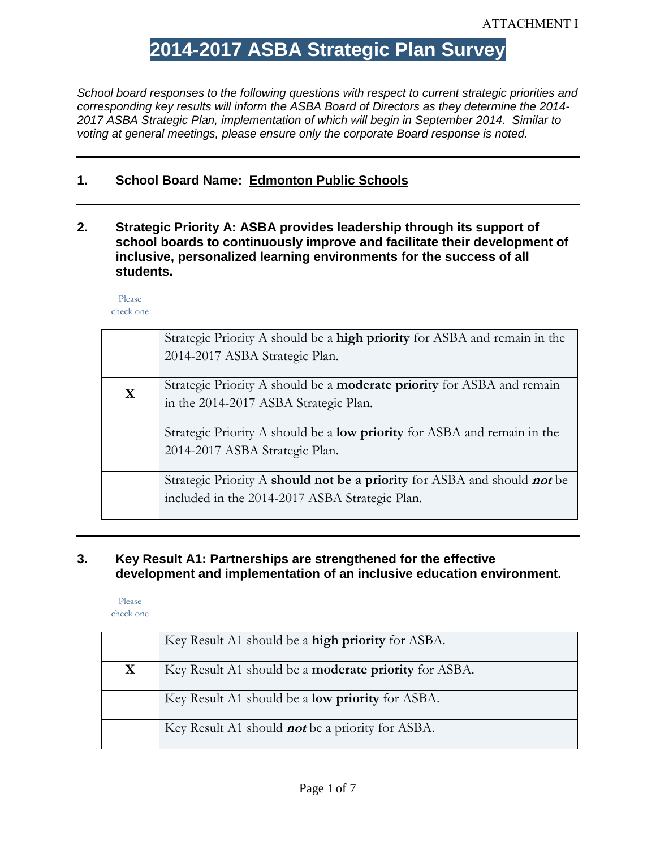# **2014-2017 ASBA Strategic Plan Survey**

*School board responses to the following questions with respect to current strategic priorities and corresponding key results will inform the ASBA Board of Directors as they determine the 2014- 2017 ASBA Strategic Plan, implementation of which will begin in September 2014. Similar to voting at general meetings, please ensure only the corporate Board response is noted.*

## **1. School Board Name: Edmonton Public Schools**

**2. Strategic Priority A: ASBA provides leadership through its support of school boards to continuously improve and facilitate their development of inclusive, personalized learning environments for the success of all students.**

Please check one

|   | Strategic Priority A should be a <b>high priority</b> for ASBA and remain in the |
|---|----------------------------------------------------------------------------------|
|   | 2014-2017 ASBA Strategic Plan.                                                   |
| X | Strategic Priority A should be a <b>moderate priority</b> for ASBA and remain    |
|   | in the 2014-2017 ASBA Strategic Plan.                                            |
|   |                                                                                  |
|   | Strategic Priority A should be a <b>low priority</b> for ASBA and remain in the  |
|   | 2014-2017 ASBA Strategic Plan.                                                   |
|   |                                                                                  |
|   | Strategic Priority A should not be a priority for ASBA and should not be         |
|   | included in the 2014-2017 ASBA Strategic Plan.                                   |
|   |                                                                                  |

### **3. Key Result A1: Partnerships are strengthened for the effective development and implementation of an inclusive education environment.**

|   | Key Result A1 should be a high priority for ASBA.            |
|---|--------------------------------------------------------------|
| X | Key Result A1 should be a <b>moderate priority</b> for ASBA. |
|   | Key Result A1 should be a <b>low priority</b> for ASBA.      |
|   | Key Result A1 should <b>not</b> be a priority for ASBA.      |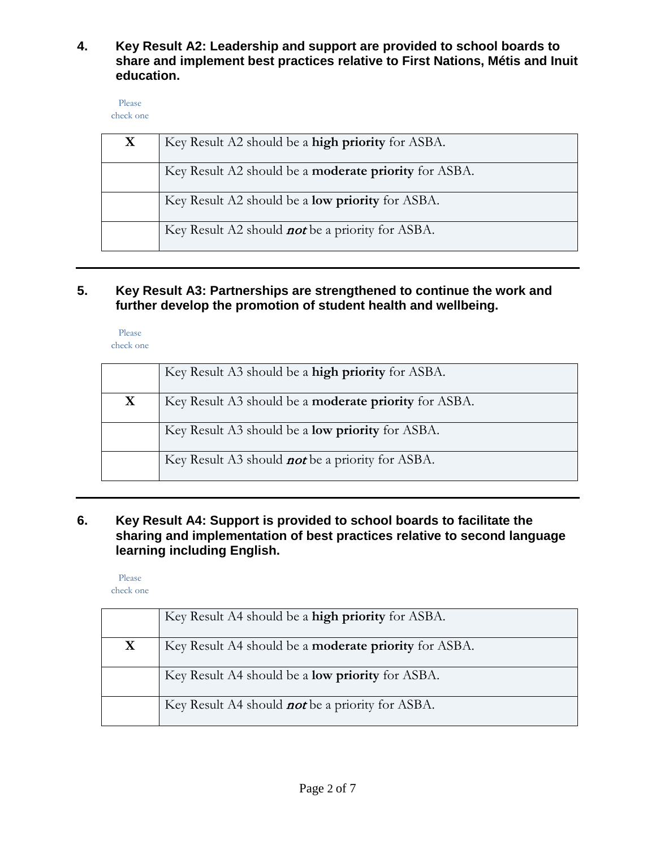**4. Key Result A2: Leadership and support are provided to school boards to share and implement best practices relative to First Nations, Métis and Inuit education.**

Please check one

| X | Key Result A2 should be a <b>high priority</b> for ASBA.     |
|---|--------------------------------------------------------------|
|   | Key Result A2 should be a <b>moderate priority</b> for ASBA. |
|   | Key Result A2 should be a <b>low priority</b> for ASBA.      |
|   | Key Result A2 should <b>not</b> be a priority for ASBA.      |

# **5. Key Result A3: Partnerships are strengthened to continue the work and further develop the promotion of student health and wellbeing.**

Please check one

|   | Key Result A3 should be a <b>high priority</b> for ASBA.     |
|---|--------------------------------------------------------------|
| X | Key Result A3 should be a <b>moderate priority</b> for ASBA. |
|   | Key Result A3 should be a <b>low priority</b> for ASBA.      |
|   | Key Result A3 should <b>not</b> be a priority for ASBA.      |

# **6. Key Result A4: Support is provided to school boards to facilitate the sharing and implementation of best practices relative to second language learning including English.**

Please

check one

|   | Key Result A4 should be a <b>high priority</b> for ASBA.     |
|---|--------------------------------------------------------------|
| X | Key Result A4 should be a <b>moderate priority</b> for ASBA. |
|   | Key Result A4 should be a <b>low priority</b> for ASBA.      |
|   | Key Result A4 should <b>not</b> be a priority for ASBA.      |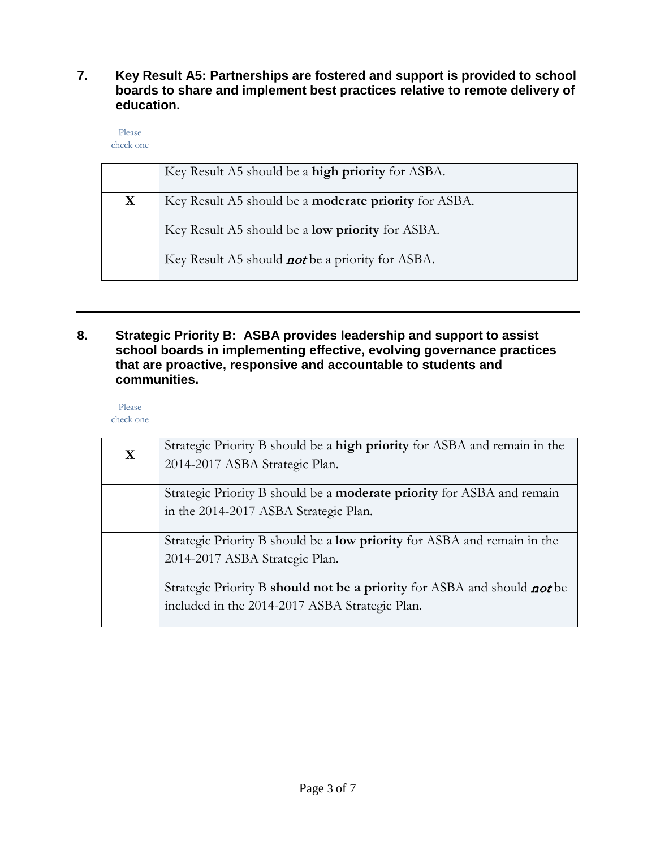## **7. Key Result A5: Partnerships are fostered and support is provided to school boards to share and implement best practices relative to remote delivery of education.**

Please check one

|   | Key Result A5 should be a high priority for ASBA.            |
|---|--------------------------------------------------------------|
| X | Key Result A5 should be a <b>moderate priority</b> for ASBA. |
|   | Key Result A5 should be a <b>low priority</b> for ASBA.      |
|   | Key Result A5 should <i>not</i> be a priority for ASBA.      |

## **8. Strategic Priority B: ASBA provides leadership and support to assist school boards in implementing effective, evolving governance practices that are proactive, responsive and accountable to students and communities.**

| X | Strategic Priority B should be a high priority for ASBA and remain in the<br>2014-2017 ASBA Strategic Plan.                |
|---|----------------------------------------------------------------------------------------------------------------------------|
|   | Strategic Priority B should be a <b>moderate priority</b> for ASBA and remain<br>in the 2014-2017 ASBA Strategic Plan.     |
|   | Strategic Priority B should be a <b>low priority</b> for ASBA and remain in the<br>2014-2017 ASBA Strategic Plan.          |
|   | Strategic Priority B should not be a priority for ASBA and should not be<br>included in the 2014-2017 ASBA Strategic Plan. |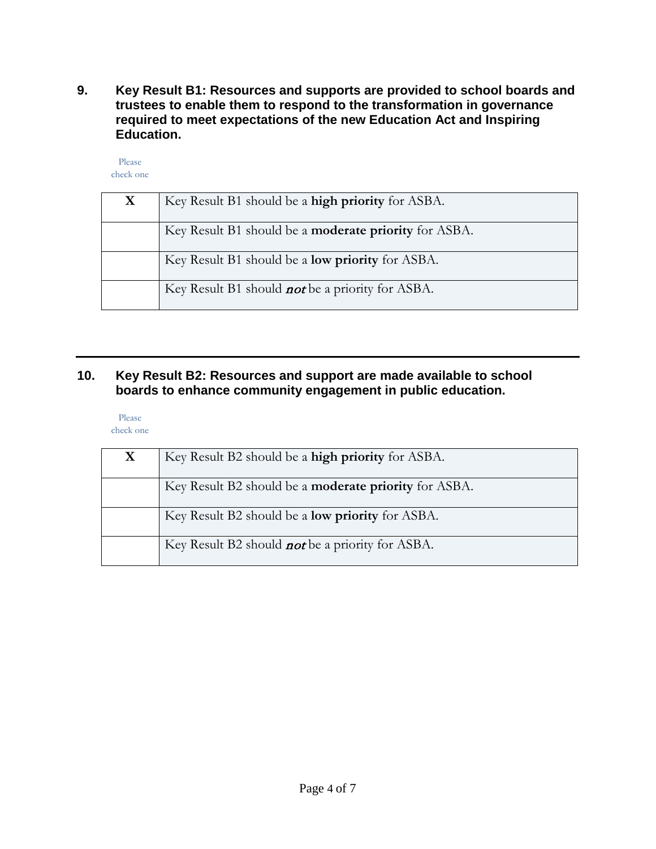**9. Key Result B1: Resources and supports are provided to school boards and trustees to enable them to respond to the transformation in governance required to meet expectations of the new Education Act and Inspiring Education.**

Please check one

| X | Key Result B1 should be a high priority for ASBA.            |
|---|--------------------------------------------------------------|
|   | Key Result B1 should be a <b>moderate priority</b> for ASBA. |
|   | Key Result B1 should be a <b>low priority</b> for ASBA.      |
|   | Key Result B1 should <b>not</b> be a priority for ASBA.      |

# **10. Key Result B2: Resources and support are made available to school boards to enhance community engagement in public education.**

| X | Key Result B2 should be a <b>high priority</b> for ASBA.     |
|---|--------------------------------------------------------------|
|   | Key Result B2 should be a <b>moderate priority</b> for ASBA. |
|   | Key Result B2 should be a <b>low priority</b> for ASBA.      |
|   | Key Result B2 should <i>not</i> be a priority for ASBA.      |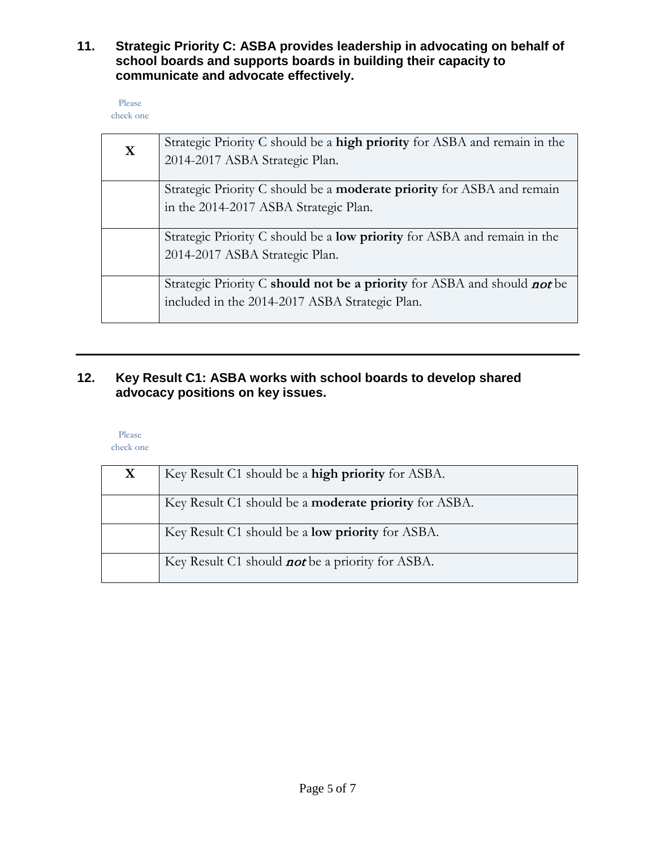**11. Strategic Priority C: ASBA provides leadership in advocating on behalf of school boards and supports boards in building their capacity to communicate and advocate effectively.**

| Please    |  |
|-----------|--|
| check one |  |

| X | Strategic Priority C should be a <b>high priority</b> for ASBA and remain in the<br>2014-2017 ASBA Strategic Plan. |
|---|--------------------------------------------------------------------------------------------------------------------|
|   | Strategic Priority C should be a <b>moderate priority</b> for ASBA and remain                                      |
|   | in the 2014-2017 ASBA Strategic Plan.                                                                              |
|   |                                                                                                                    |
|   | Strategic Priority C should be a <b>low priority</b> for ASBA and remain in the                                    |
|   | 2014-2017 ASBA Strategic Plan.                                                                                     |
|   |                                                                                                                    |
|   | Strategic Priority C should not be a priority for ASBA and should not be                                           |
|   | included in the 2014-2017 ASBA Strategic Plan.                                                                     |
|   |                                                                                                                    |

# **12. Key Result C1: ASBA works with school boards to develop shared advocacy positions on key issues.**

Please

check one

| X | Key Result C1 should be a high priority for ASBA.            |
|---|--------------------------------------------------------------|
|   | Key Result C1 should be a <b>moderate priority</b> for ASBA. |
|   | Key Result C1 should be a <b>low priority</b> for ASBA.      |
|   | Key Result C1 should <b>not</b> be a priority for ASBA.      |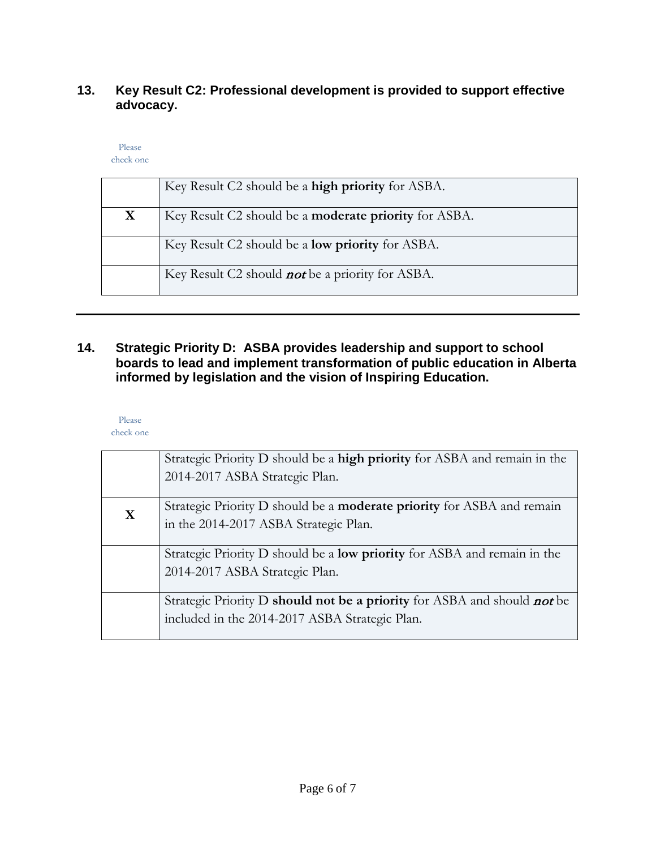# **13. Key Result C2: Professional development is provided to support effective advocacy.**

#### Please check one

|  | Key Result C2 should be a high priority for ASBA.                                              |
|--|------------------------------------------------------------------------------------------------|
|  | $K_{\alpha\nu}$ B can $\pm$ C <sub>2</sub> should be a <b>moderate</b> priority for $\Delta S$ |

| X | Key Result C2 should be a <b>moderate priority</b> for ASBA. |
|---|--------------------------------------------------------------|
|   | Key Result C2 should be a <b>low priority</b> for ASBA.      |
|   | Key Result C2 should <b>not</b> be a priority for ASBA.      |

# **14. Strategic Priority D: ASBA provides leadership and support to school boards to lead and implement transformation of public education in Alberta informed by legislation and the vision of Inspiring Education.**

|   | Strategic Priority D should be a <b>high priority</b> for ASBA and remain in the |
|---|----------------------------------------------------------------------------------|
|   | 2014-2017 ASBA Strategic Plan.                                                   |
|   |                                                                                  |
| X | Strategic Priority D should be a <b>moderate priority</b> for ASBA and remain    |
|   | in the 2014-2017 ASBA Strategic Plan.                                            |
|   |                                                                                  |
|   | Strategic Priority D should be a <b>low priority</b> for ASBA and remain in the  |
|   | 2014-2017 ASBA Strategic Plan.                                                   |
|   |                                                                                  |
|   | Strategic Priority D should not be a priority for ASBA and should not be         |
|   | included in the 2014-2017 ASBA Strategic Plan.                                   |
|   |                                                                                  |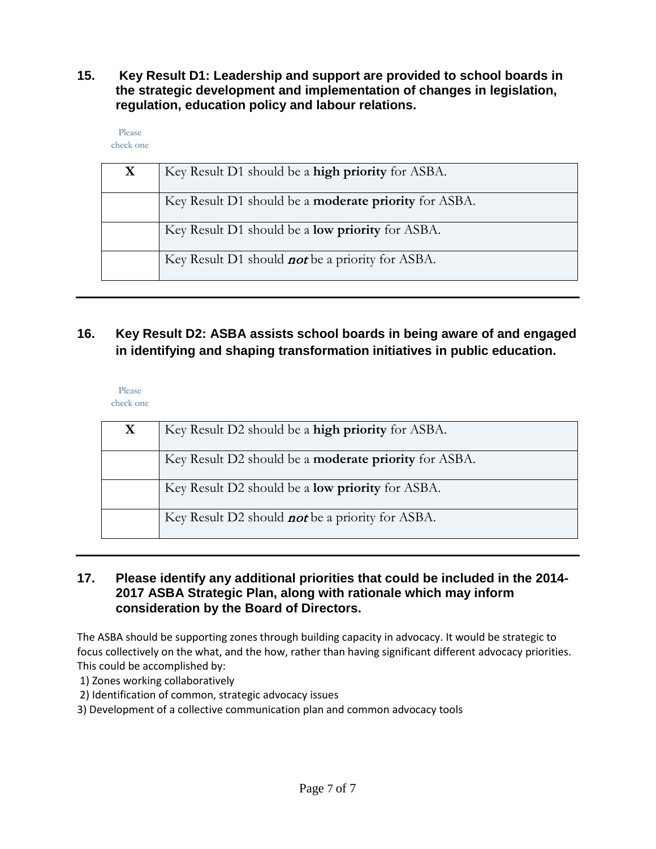**15. Key Result D1: Leadership and support are provided to school boards in the strategic development and implementation of changes in legislation, regulation, education policy and labour relations.**

Please check one

| X | Key Result D1 should be a high priority for ASBA.            |
|---|--------------------------------------------------------------|
|   | Key Result D1 should be a <b>moderate priority</b> for ASBA. |
|   | Key Result D1 should be a <b>low priority</b> for ASBA.      |
|   | Key Result D1 should <b>not</b> be a priority for ASBA.      |

# **16. Key Result D2: ASBA assists school boards in being aware of and engaged in identifying and shaping transformation initiatives in public education.**

Please check one

| X | Key Result D2 should be a high priority for ASBA.            |
|---|--------------------------------------------------------------|
|   | Key Result D2 should be a <b>moderate priority</b> for ASBA. |
|   | Key Result D2 should be a <b>low priority</b> for ASBA.      |
|   | Key Result D2 should <i>not</i> be a priority for ASBA.      |

## **17. Please identify any additional priorities that could be included in the 2014- 2017 ASBA Strategic Plan, along with rationale which may inform consideration by the Board of Directors.**

The ASBA should be supporting zones through building capacity in advocacy. It would be strategic to focus collectively on the what, and the how, rather than having significant different advocacy priorities. This could be accomplished by:

1) Zones working collaboratively

2) Identification of common, strategic advocacy issues

3) Development of a collective communication plan and common advocacy tools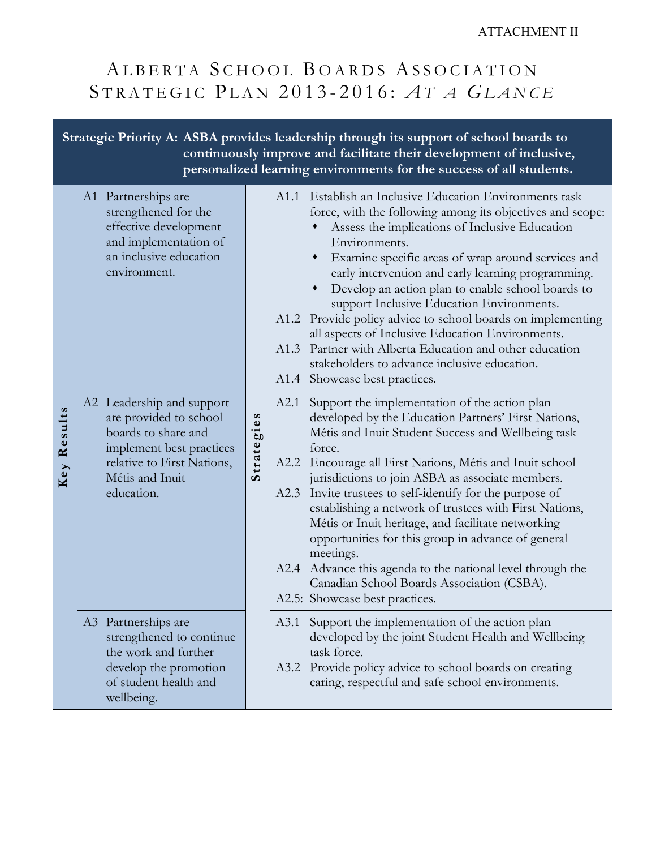### ATTACHMENT II

# ALBERTA SCHOOL BOARDS ASSOCIATION S TRATEGIC P LAN 201 3 - 201 6 : *A T A G LANCE*

**Strategic Priority A: ASBA provides leadership through its support of school boards to continuously improve and facilitate their development of inclusive, personalized learning environments for the success of all students.** A1 Partnerships are A1.1 Establish an Inclusive Education Environments task strengthened for the force, with the following among its objectives and scope: effective development Assess the implications of Inclusive Education and implementation of Environments. an inclusive education Examine specific areas of wrap around services and environment. early intervention and early learning programming. Develop an action plan to enable school boards to support Inclusive Education Environments. A1.2 Provide policy advice to school boards on implementing all aspects of Inclusive Education Environments. A1.3 Partner with Alberta Education and other education stakeholders to advance inclusive education. A1.4 Showcase best practices. A2 Leadership and support A2.1 Support the implementation of the action plan Results **Key Results** Strategies are provided to school developed by the Education Partners' First Nations, **Strategies** boards to share and Métis and Inuit Student Success and Wellbeing task implement best practices force. Key relative to First Nations, A2.2 Encourage all First Nations, Métis and Inuit school Métis and Inuit jurisdictions to join ASBA as associate members. A2.3 Invite trustees to self-identify for the purpose of education. establishing a network of trustees with First Nations, Métis or Inuit heritage, and facilitate networking opportunities for this group in advance of general meetings. A2.4 Advance this agenda to the national level through the Canadian School Boards Association (CSBA). A2.5: Showcase best practices. A3 Partnerships are A3.1 Support the implementation of the action plan developed by the joint Student Health and Wellbeing strengthened to continue the work and further task force. develop the promotion A3.2 Provide policy advice to school boards on creating of student health and caring, respectful and safe school environments. wellbeing.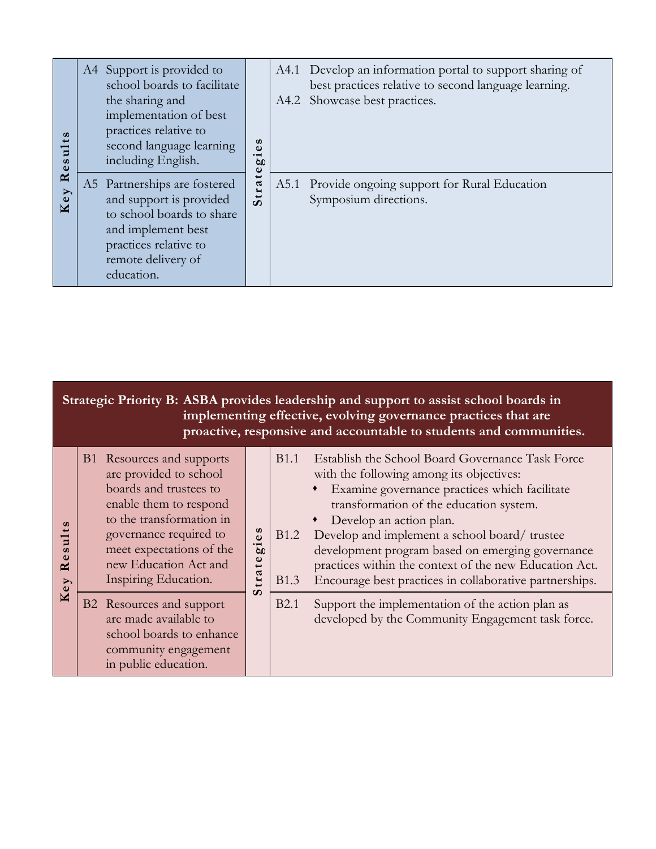| ဖာ<br>$\frac{1}{2}$<br>89 | A4 Support is provided to<br>school boards to facilitate<br>the sharing and<br>implementation of best<br>practices relative to<br>second language learning<br>including English. | $\boldsymbol{\omega}$<br>ω<br>$\cdot$ $\overline{\phantom{0}}$<br>60<br>Φ | A4.1 Develop an information portal to support sharing of<br>best practices relative to second language learning.<br>A4.2 Showcase best practices. |
|---------------------------|----------------------------------------------------------------------------------------------------------------------------------------------------------------------------------|---------------------------------------------------------------------------|---------------------------------------------------------------------------------------------------------------------------------------------------|
| $\approx$<br>Key          | A5 Partnerships are fostered<br>and support is provided<br>to school boards to share<br>and implement best<br>practices relative to<br>remote delivery of<br>education.          | tra<br>$\boldsymbol{\omega}$                                              | A5.1 Provide ongoing support for Rural Education<br>Symposium directions.                                                                         |

|                                 | Strategic Priority B: ASBA provides leadership and support to assist school boards in<br>implementing effective, evolving governance practices that are<br>proactive, responsive and accountable to students and communities.                                                                                                         |                                                                                                                                                                                                                                                                                                                                                                                                                                                                                              |  |  |  |  |
|---------------------------------|---------------------------------------------------------------------------------------------------------------------------------------------------------------------------------------------------------------------------------------------------------------------------------------------------------------------------------------|----------------------------------------------------------------------------------------------------------------------------------------------------------------------------------------------------------------------------------------------------------------------------------------------------------------------------------------------------------------------------------------------------------------------------------------------------------------------------------------------|--|--|--|--|
| sults<br>≃<br>$\mathbf{e}$<br>K | B1 Resources and supports<br>are provided to school<br>boards and trustees to<br>enable them to respond<br>to the transformation in<br>es<br>governance required to<br>$\overline{g}$<br>meet expectations of the<br>$\mathbf \omega$<br>new Education Act and<br>$\overline{\phantom{0}}$<br>tra<br>Inspiring Education.<br>$\Omega$ | <b>B</b> 1.1<br>Establish the School Board Governance Task Force<br>with the following among its objectives:<br>Examine governance practices which facilitate<br>transformation of the education system.<br>Develop an action plan.<br>Develop and implement a school board/trustee<br><b>B</b> 1.2<br>development program based on emerging governance<br>practices within the context of the new Education Act.<br>Encourage best practices in collaborative partnerships.<br><b>B</b> 1.3 |  |  |  |  |
|                                 | B2 Resources and support<br>are made available to<br>school boards to enhance<br>community engagement<br>in public education.                                                                                                                                                                                                         | <b>B2.1</b><br>Support the implementation of the action plan as<br>developed by the Community Engagement task force.                                                                                                                                                                                                                                                                                                                                                                         |  |  |  |  |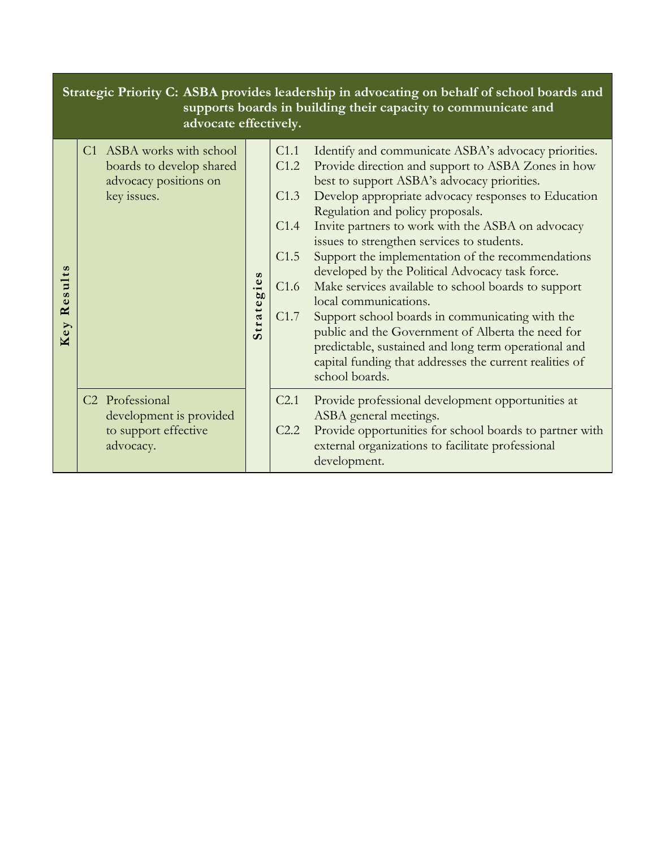|               | Strategic Priority C: ASBA provides leadership in advocating on behalf of school boards and<br>supports boards in building their capacity to communicate and<br>advocate effectively. |                       |                                                      |                                                                                                                                                                                                                                                                                                                                                                                                                                                                                                                                                                                                                                                                                                                                                                                              |  |  |
|---------------|---------------------------------------------------------------------------------------------------------------------------------------------------------------------------------------|-----------------------|------------------------------------------------------|----------------------------------------------------------------------------------------------------------------------------------------------------------------------------------------------------------------------------------------------------------------------------------------------------------------------------------------------------------------------------------------------------------------------------------------------------------------------------------------------------------------------------------------------------------------------------------------------------------------------------------------------------------------------------------------------------------------------------------------------------------------------------------------------|--|--|
| Results<br>ey | C1 ASBA works with school<br>boards to develop shared<br>advocacy positions on<br>key issues.                                                                                         | $\omega$<br>Strategie | C1.1<br>C1.2<br>C1.3<br>C1.4<br>C1.5<br>C1.6<br>C1.7 | Identify and communicate ASBA's advocacy priorities.<br>Provide direction and support to ASBA Zones in how<br>best to support ASBA's advocacy priorities.<br>Develop appropriate advocacy responses to Education<br>Regulation and policy proposals.<br>Invite partners to work with the ASBA on advocacy<br>issues to strengthen services to students.<br>Support the implementation of the recommendations<br>developed by the Political Advocacy task force.<br>Make services available to school boards to support<br>local communications.<br>Support school boards in communicating with the<br>public and the Government of Alberta the need for<br>predictable, sustained and long term operational and<br>capital funding that addresses the current realities of<br>school boards. |  |  |
|               | C <sub>2</sub> Professional<br>development is provided<br>to support effective<br>advocacy.                                                                                           |                       | C <sub>2.1</sub><br>C2.2                             | Provide professional development opportunities at<br>ASBA general meetings.<br>Provide opportunities for school boards to partner with<br>external organizations to facilitate professional<br>development.                                                                                                                                                                                                                                                                                                                                                                                                                                                                                                                                                                                  |  |  |